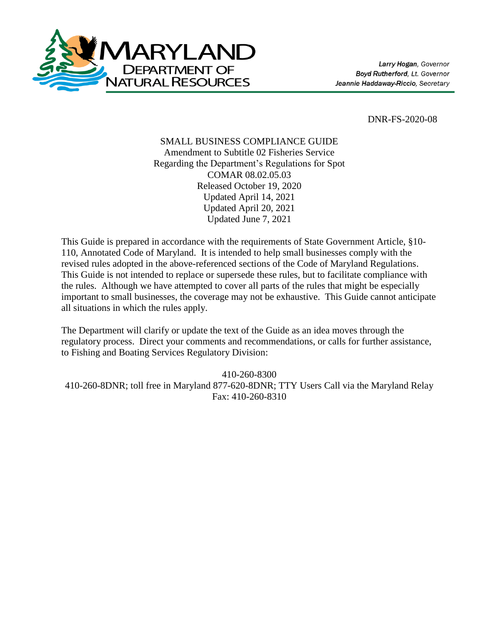

DNR-FS-2020-08

### SMALL BUSINESS COMPLIANCE GUIDE Amendment to Subtitle 02 Fisheries Service Regarding the Department's Regulations for Spot COMAR 08.02.05.03 Released October 19, 2020 Updated April 14, 2021 Updated April 20, 2021 Updated June 7, 2021

This Guide is prepared in accordance with the requirements of State Government Article, §10- 110, Annotated Code of Maryland. It is intended to help small businesses comply with the revised rules adopted in the above-referenced sections of the Code of Maryland Regulations. This Guide is not intended to replace or supersede these rules, but to facilitate compliance with the rules. Although we have attempted to cover all parts of the rules that might be especially important to small businesses, the coverage may not be exhaustive. This Guide cannot anticipate all situations in which the rules apply.

The Department will clarify or update the text of the Guide as an idea moves through the regulatory process. Direct your comments and recommendations, or calls for further assistance, to Fishing and Boating Services Regulatory Division:

410-260-8300

410-260-8DNR; toll free in Maryland 877-620-8DNR; TTY Users Call via the Maryland Relay Fax: 410-260-8310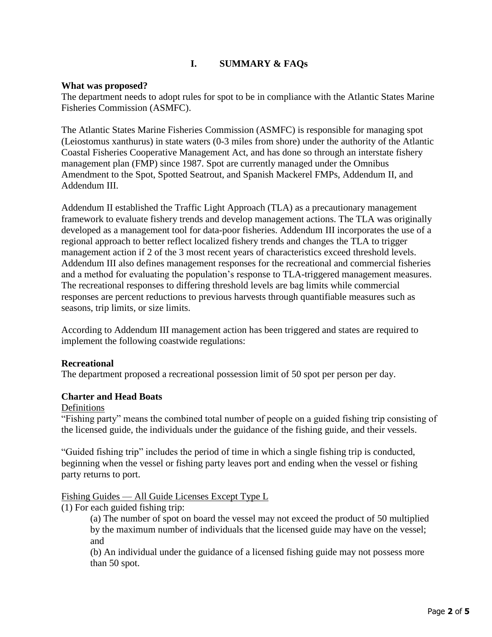# **I. SUMMARY & FAQs**

### **What was proposed?**

The department needs to adopt rules for spot to be in compliance with the Atlantic States Marine Fisheries Commission (ASMFC).

The Atlantic States Marine Fisheries Commission (ASMFC) is responsible for managing spot (Leiostomus xanthurus) in state waters (0-3 miles from shore) under the authority of the Atlantic Coastal Fisheries Cooperative Management Act, and has done so through an interstate fishery management plan (FMP) since 1987. Spot are currently managed under the Omnibus Amendment to the Spot, Spotted Seatrout, and Spanish Mackerel FMPs, Addendum II, and Addendum III.

Addendum II established the Traffic Light Approach (TLA) as a precautionary management framework to evaluate fishery trends and develop management actions. The TLA was originally developed as a management tool for data-poor fisheries. Addendum III incorporates the use of a regional approach to better reflect localized fishery trends and changes the TLA to trigger management action if 2 of the 3 most recent years of characteristics exceed threshold levels. Addendum III also defines management responses for the recreational and commercial fisheries and a method for evaluating the population's response to TLA-triggered management measures. The recreational responses to differing threshold levels are bag limits while commercial responses are percent reductions to previous harvests through quantifiable measures such as seasons, trip limits, or size limits.

According to Addendum III management action has been triggered and states are required to implement the following coastwide regulations:

### **Recreational**

The department proposed a recreational possession limit of 50 spot per person per day.

### **Charter and Head Boats**

#### Definitions

"Fishing party" means the combined total number of people on a guided fishing trip consisting of the licensed guide, the individuals under the guidance of the fishing guide, and their vessels.

"Guided fishing trip" includes the period of time in which a single fishing trip is conducted, beginning when the vessel or fishing party leaves port and ending when the vessel or fishing party returns to port.

### Fishing Guides — All Guide Licenses Except Type L

(1) For each guided fishing trip:

(a) The number of spot on board the vessel may not exceed the product of 50 multiplied by the maximum number of individuals that the licensed guide may have on the vessel; and

(b) An individual under the guidance of a licensed fishing guide may not possess more than 50 spot.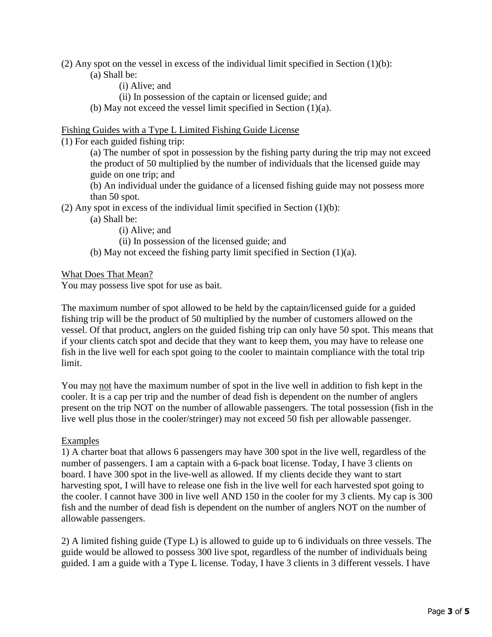- (2) Any spot on the vessel in excess of the individual limit specified in Section  $(1)(b)$ :
	- (a) Shall be:
		- (i) Alive; and
		- (ii) In possession of the captain or licensed guide; and
	- (b) May not exceed the vessel limit specified in Section (1)(a).

### Fishing Guides with a Type L Limited Fishing Guide License

(1) For each guided fishing trip:

(a) The number of spot in possession by the fishing party during the trip may not exceed the product of 50 multiplied by the number of individuals that the licensed guide may guide on one trip; and

(b) An individual under the guidance of a licensed fishing guide may not possess more than 50 spot.

(2) Any spot in excess of the individual limit specified in Section  $(1)(b)$ :

(a) Shall be:

(i) Alive; and

(ii) In possession of the licensed guide; and

(b) May not exceed the fishing party limit specified in Section (1)(a).

What Does That Mean?

You may possess live spot for use as bait.

The maximum number of spot allowed to be held by the captain/licensed guide for a guided fishing trip will be the product of 50 multiplied by the number of customers allowed on the vessel. Of that product, anglers on the guided fishing trip can only have 50 spot. This means that if your clients catch spot and decide that they want to keep them, you may have to release one fish in the live well for each spot going to the cooler to maintain compliance with the total trip limit.

You may not have the maximum number of spot in the live well in addition to fish kept in the cooler. It is a cap per trip and the number of dead fish is dependent on the number of anglers present on the trip NOT on the number of allowable passengers. The total possession (fish in the live well plus those in the cooler/stringer) may not exceed 50 fish per allowable passenger.

### Examples

1) A charter boat that allows 6 passengers may have 300 spot in the live well, regardless of the number of passengers. I am a captain with a 6-pack boat license. Today, I have 3 clients on board. I have 300 spot in the live-well as allowed. If my clients decide they want to start harvesting spot, I will have to release one fish in the live well for each harvested spot going to the cooler. I cannot have 300 in live well AND 150 in the cooler for my 3 clients. My cap is 300 fish and the number of dead fish is dependent on the number of anglers NOT on the number of allowable passengers.

2) A limited fishing guide (Type L) is allowed to guide up to 6 individuals on three vessels. The guide would be allowed to possess 300 live spot, regardless of the number of individuals being guided. I am a guide with a Type L license. Today, I have 3 clients in 3 different vessels. I have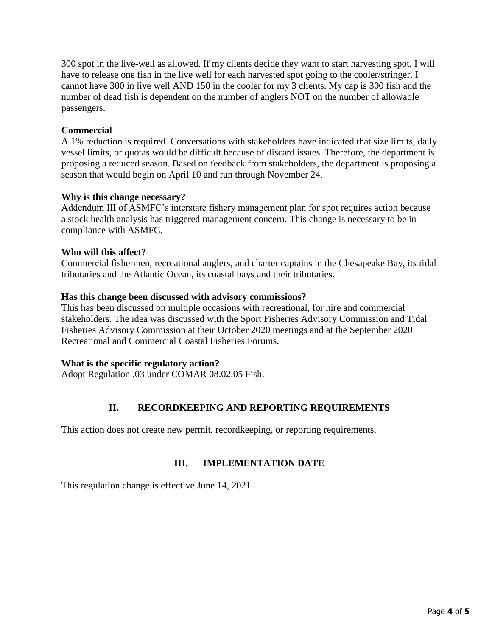300 spot in the live-well as allowed. If my clients decide they want to start harvesting spot, I will have to release one fish in the live well for each harvested spot going to the cooler/stringer. I cannot have 300 in live well AND 150 in the cooler for my 3 clients. My cap is 300 fish and the number of dead fish is dependent on the number of anglers NOT on the number of allowable passengers.

### **Commercial**

A 1% reduction is required. Conversations with stakeholders have indicated that size limits, daily vessel limits, or quotas would be difficult because of discard issues. Therefore, the department is proposing a reduced season. Based on feedback from stakeholders, the department is proposing a season that would begin on April 10 and run through November 24.

### **Why is this change necessary?**

Addendum III of ASMFC's interstate fishery management plan for spot requires action because a stock health analysis has triggered management concern. This change is necessary to be in compliance with ASMFC.

### **Who will this affect?**

Commercial fishermen, recreational anglers, and charter captains in the Chesapeake Bay, its tidal tributaries and the Atlantic Ocean, its coastal bays and their tributaries.

### **Has this change been discussed with advisory commissions?**

This has been discussed on multiple occasions with recreational, for hire and commercial stakeholders. The idea was discussed with the Sport Fisheries Advisory Commission and Tidal Fisheries Advisory Commission at their October 2020 meetings and at the September 2020 Recreational and Commercial Coastal Fisheries Forums.

### **What is the specific regulatory action?**

Adopt Regulation .03 under COMAR 08.02.05 Fish.

## **II. RECORDKEEPING AND REPORTING REQUIREMENTS**

This action does not create new permit, recordkeeping, or reporting requirements.

## **III. IMPLEMENTATION DATE**

This regulation change is effective June 14, 2021.